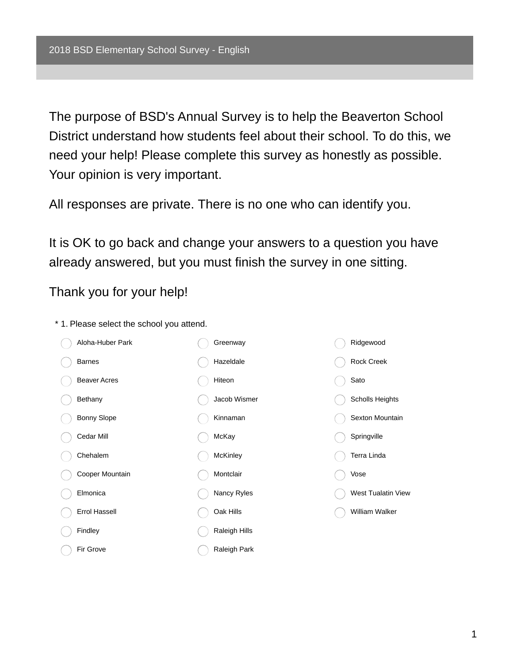The purpose of BSD's Annual Survey is to help the Beaverton School District understand how students feel about their school. To do this, we need your help! Please complete this survey as honestly as possible. Your opinion is very important.

All responses are private. There is no one who can identify you.

It is OK to go back and change your answers to a question you have already answered, but you must finish the survey in one sitting.

Thank you for your help!

- Aloha-Huber Park Barnes Beaver Acres Bethany Bonny Slope Cedar Mill Chehalem Cooper Mountain Elmonica Errol Hassell Findley Fir Grove Greenway Hazeldale Hiteon Jacob Wismer Kinnaman McKay **McKinley** Montclair Nancy Ryles Oak Hills Raleigh Hills Raleigh Park Ridgewood Rock Creek Sato Scholls Heights Sexton Mountain **Springville** Terra Linda Vose West Tualatin View William Walker
- \* 1. Please select the school you attend.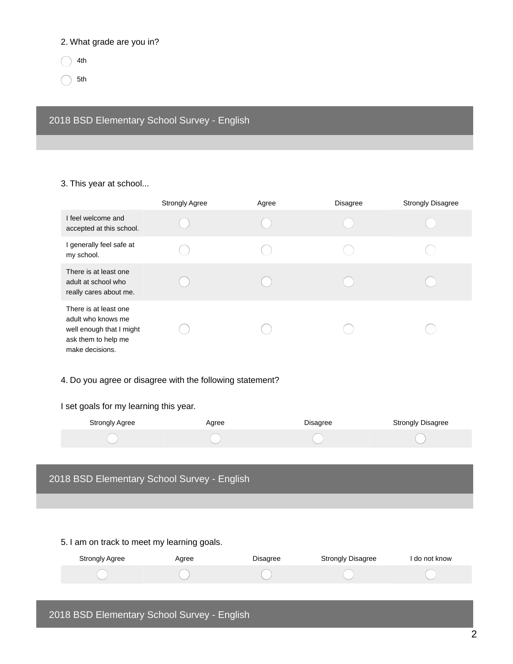#### 2. What grade are you in?

4th

5th

2018 BSD Elementary School Survey - English

3. This year at school...

|                                                                                                                   | <b>Strongly Agree</b> | Agree | <b>Disagree</b> | <b>Strongly Disagree</b> |
|-------------------------------------------------------------------------------------------------------------------|-----------------------|-------|-----------------|--------------------------|
| I feel welcome and<br>accepted at this school.                                                                    |                       |       |                 |                          |
| I generally feel safe at<br>my school.                                                                            |                       |       |                 |                          |
| There is at least one<br>adult at school who<br>really cares about me.                                            |                       |       |                 |                          |
| There is at least one<br>adult who knows me<br>well enough that I might<br>ask them to help me<br>make decisions. |                       |       |                 |                          |

#### 4. Do you agree or disagree with the following statement?

# I set goals for my learning this year.

| Strongly Agree | Agree | Disagree | Strongly Disagree |
|----------------|-------|----------|-------------------|
|                |       |          |                   |

#### 2018 BSD Elementary School Survey - English

5. I am on track to meet my learning goals.

| <b>Strongly Agree</b>                       | Agree | <b>Disagree</b> | <b>Strongly Disagree</b> | I do not know |
|---------------------------------------------|-------|-----------------|--------------------------|---------------|
|                                             |       |                 |                          |               |
|                                             |       |                 |                          |               |
| 2018 BSD Elementary School Survey - English |       |                 |                          |               |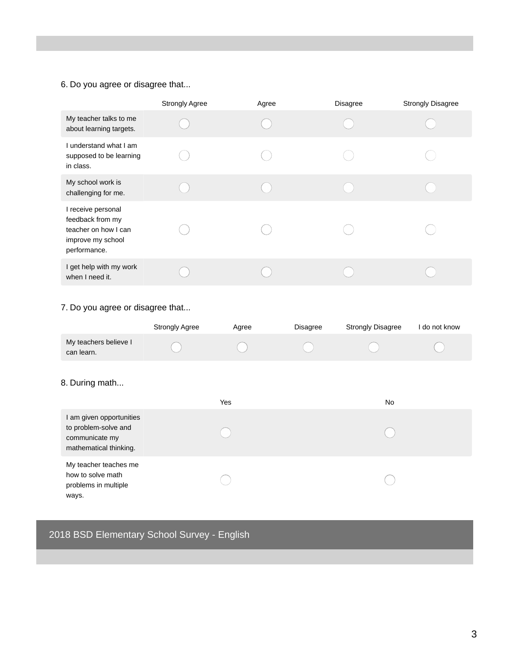# 6. Do you agree or disagree that...

|                                                                                                     | <b>Strongly Agree</b> | Agree | <b>Disagree</b> | <b>Strongly Disagree</b> |
|-----------------------------------------------------------------------------------------------------|-----------------------|-------|-----------------|--------------------------|
| My teacher talks to me<br>about learning targets.                                                   |                       |       |                 |                          |
| I understand what I am<br>supposed to be learning<br>in class.                                      |                       |       |                 |                          |
| My school work is<br>challenging for me.                                                            |                       |       |                 |                          |
| I receive personal<br>feedback from my<br>teacher on how I can<br>improve my school<br>performance. |                       |       |                 |                          |
| I get help with my work<br>when I need it.                                                          |                       |       |                 |                          |

### 7. Do you agree or disagree that...

|                                     | <b>Strongly Agree</b> | Agree | <b>Disagree</b> | <b>Strongly Disagree</b> | do not know |
|-------------------------------------|-----------------------|-------|-----------------|--------------------------|-------------|
| My teachers believe I<br>can learn. |                       |       |                 |                          |             |

#### 8. During math...

|                                                                                              | Yes | No |
|----------------------------------------------------------------------------------------------|-----|----|
| I am given opportunities<br>to problem-solve and<br>communicate my<br>mathematical thinking. |     |    |
| My teacher teaches me<br>how to solve math<br>problems in multiple<br>ways.                  |     |    |

# 2018 BSD Elementary School Survey - English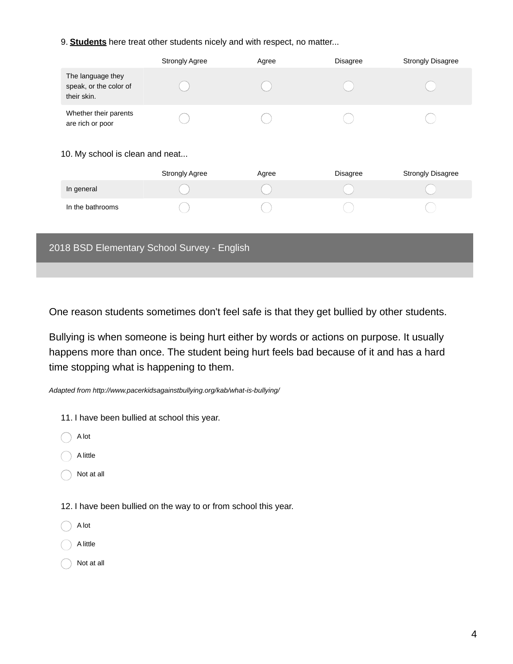9. **Students** here treat other students nicely and with respect, no matter...

|                                                            | <b>Strongly Agree</b> | Agree | <b>Disagree</b> | <b>Strongly Disagree</b> |
|------------------------------------------------------------|-----------------------|-------|-----------------|--------------------------|
| The language they<br>speak, or the color of<br>their skin. |                       |       |                 |                          |
| Whether their parents<br>are rich or poor                  |                       |       |                 |                          |
| 10. My school is clean and neat                            |                       |       |                 |                          |
|                                                            | <b>Strongly Agree</b> | Agree | <b>Disagree</b> | <b>Strongly Disagree</b> |
| In general                                                 |                       |       |                 |                          |
| In the bathrooms                                           |                       |       |                 |                          |

| 2018 BSD Elementary School Survey - English |
|---------------------------------------------|
|                                             |

One reason students sometimes don't feel safe is that they get bullied by other students.

Bullying is when someone is being hurt either by words or actions on purpose. It usually happens more than once. The student being hurt feels bad because of it and has a hard time stopping what is happening to them.

*Adapted from http://www.pacerkidsagainstbullying.org/kab/what-is-bullying/*

11. I have been bullied at school this year.

A lot

A little

Not at all

12. I have been bullied on the way to or from school this year.

A lot

A little

Not at all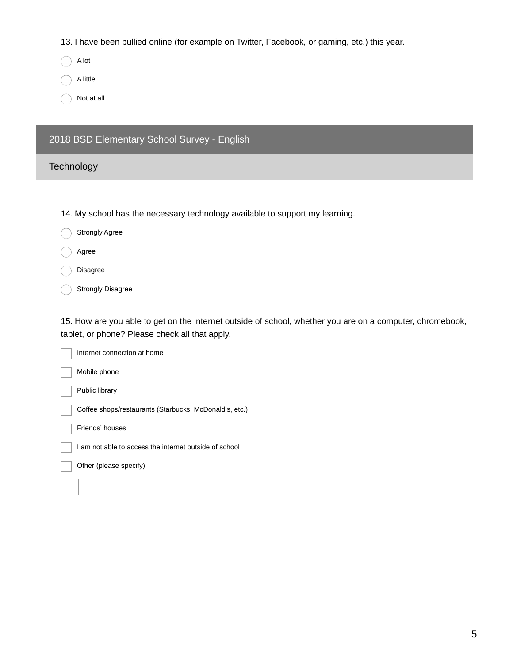13. I have been bullied online (for example on Twitter, Facebook, or gaming, etc.) this year.

A lot

A little

Not at all

## 2018 BSD Elementary School Survey - English

#### **Technology**

14. My school has the necessary technology available to support my learning.

- Strongly Agree
- Agree
- Disagree
- Strongly Disagree

15. How are you able to get on the internet outside of school, whether you are on a computer, chromebook, tablet, or phone? Please check all that apply.

| Internet connection at home                            |
|--------------------------------------------------------|
| Mobile phone                                           |
| Public library                                         |
| Coffee shops/restaurants (Starbucks, McDonald's, etc.) |
| Friends' houses                                        |
| I am not able to access the internet outside of school |
| Other (please specify)                                 |
|                                                        |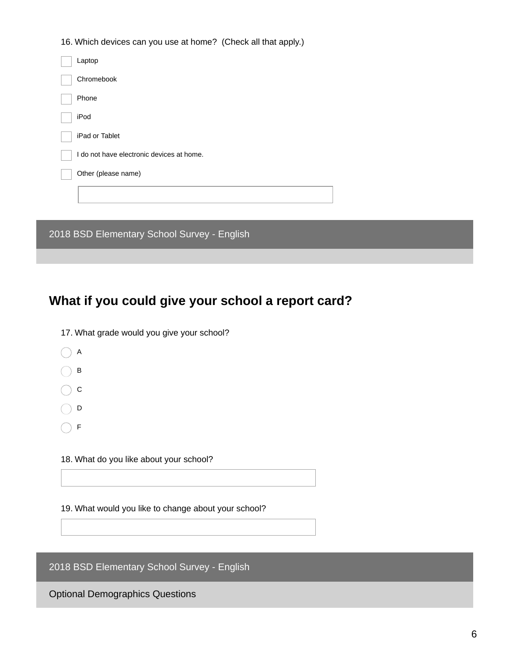16. Which devices can you use at home? (Check all that apply.)

| Laptop                                      |
|---------------------------------------------|
| Chromebook                                  |
| Phone                                       |
| iPod                                        |
| iPad or Tablet                              |
| I do not have electronic devices at home.   |
| Other (please name)                         |
|                                             |
|                                             |
| 2018 BSD Elementary School Survey - English |

# **What if you could give your school a report card?**

17. What grade would you give your school?

 $\bigcap$  A

 $\bigcap$  B

 $\bigcap$  c

 $\bigcap$  D

 $\bigcirc$  F

18. What do you like about your school?

19. What would you like to change about your school?

2018 BSD Elementary School Survey - English

Optional Demographics Questions